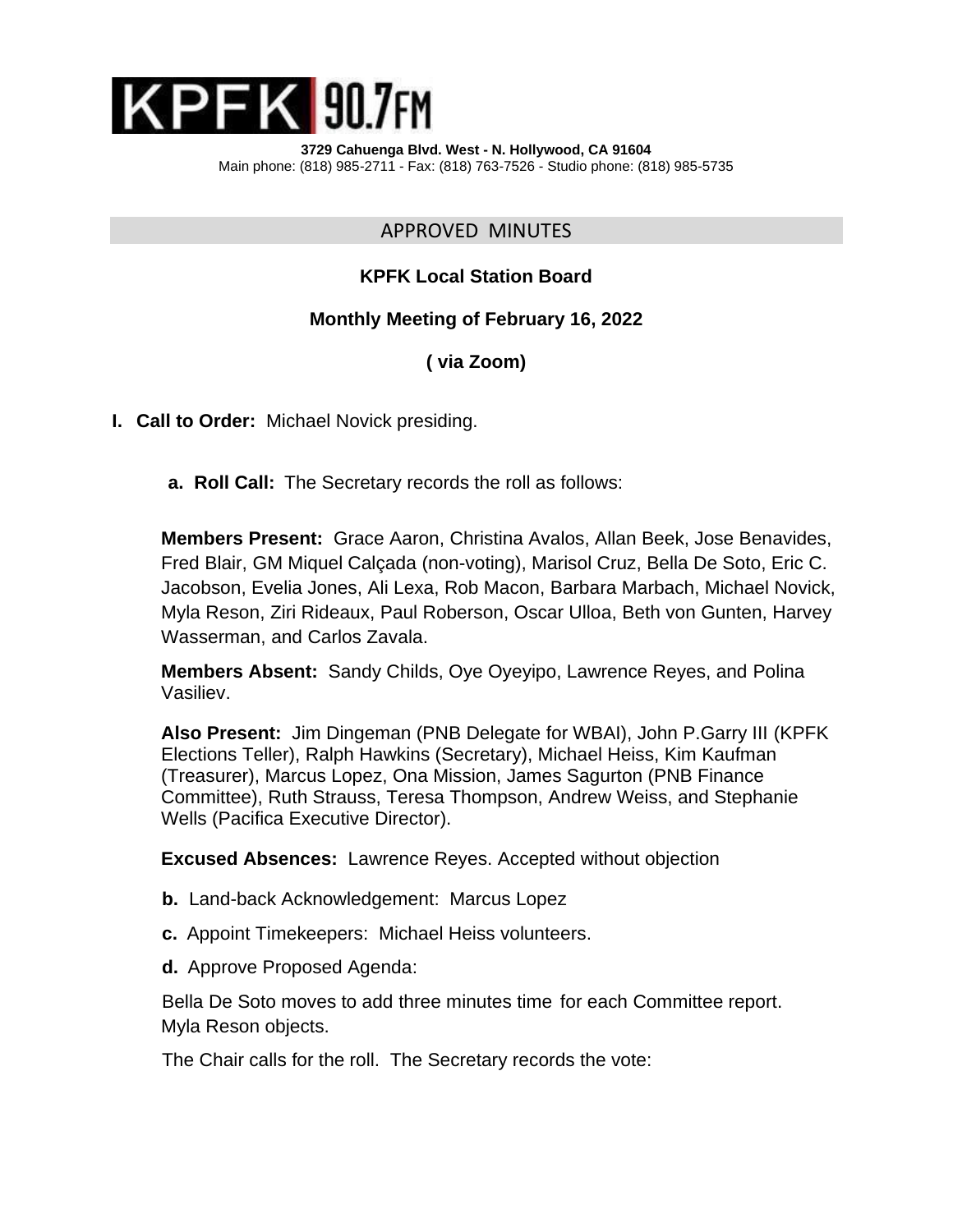

#### APPROVED MINUTES

## **KPFK Local Station Board**

#### **Monthly Meeting of February 16, 2022**

**( via Zoom)**

**I. Call to Order:** Michael Novick presiding.

**a. Roll Call:** The Secretary records the roll as follows:

**Members Present:** Grace Aaron, Christina Avalos, Allan Beek, Jose Benavides, Fred Blair, GM Miquel Calçada (non-voting), Marisol Cruz, Bella De Soto, Eric C. Jacobson, Evelia Jones, Ali Lexa, Rob Macon, Barbara Marbach, Michael Novick, Myla Reson, Ziri Rideaux, Paul Roberson, Oscar Ulloa, Beth von Gunten, Harvey Wasserman, and Carlos Zavala.

**Members Absent:** Sandy Childs, Oye Oyeyipo, Lawrence Reyes, and Polina Vasiliev.

**Also Present:** Jim Dingeman (PNB Delegate for WBAI), John P.Garry III (KPFK Elections Teller), Ralph Hawkins (Secretary), Michael Heiss, Kim Kaufman (Treasurer), Marcus Lopez, Ona Mission, James Sagurton (PNB Finance Committee), Ruth Strauss, Teresa Thompson, Andrew Weiss, and Stephanie Wells (Pacifica Executive Director).

**Excused Absences:** Lawrence Reyes. Accepted without objection

- **b.** Land-back Acknowledgement: Marcus Lopez
- **c.** Appoint Timekeepers: Michael Heiss volunteers.
- **d.** Approve Proposed Agenda:

Bella De Soto moves to add three minutes time for each Committee report. Myla Reson objects.

The Chair calls for the roll. The Secretary records the vote: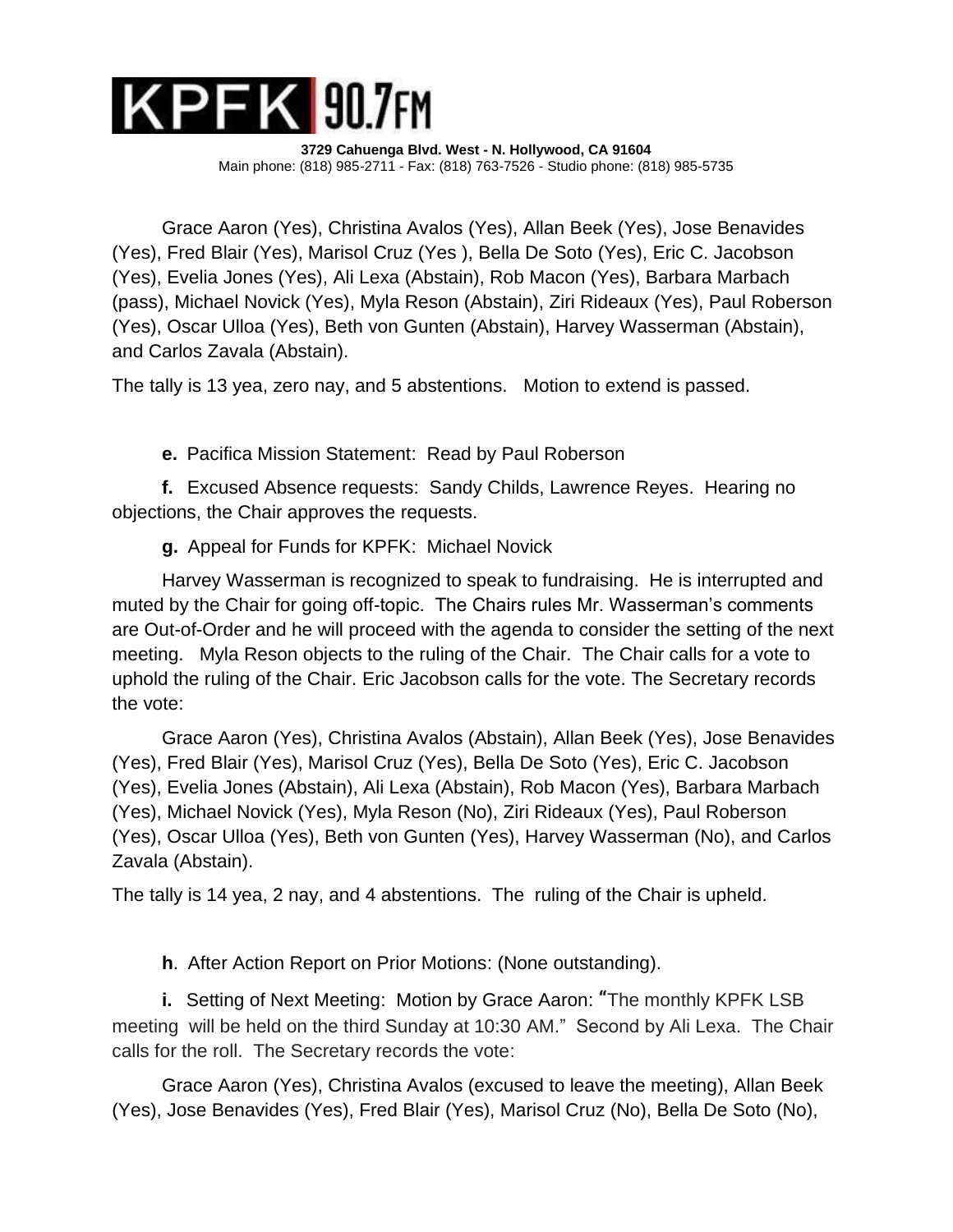**3729 Cahuenga Blvd. West - N. Hollywood, CA 91604** Main phone: (818) 985-2711 - Fax: (818) 763-7526 - Studio phone: (818) 985-5735

Grace Aaron (Yes), Christina Avalos (Yes), Allan Beek (Yes), Jose Benavides (Yes), Fred Blair (Yes), Marisol Cruz (Yes ), Bella De Soto (Yes), Eric C. Jacobson (Yes), Evelia Jones (Yes), Ali Lexa (Abstain), Rob Macon (Yes), Barbara Marbach (pass), Michael Novick (Yes), Myla Reson (Abstain), Ziri Rideaux (Yes), Paul Roberson (Yes), Oscar Ulloa (Yes), Beth von Gunten (Abstain), Harvey Wasserman (Abstain), and Carlos Zavala (Abstain).

The tally is 13 yea, zero nay, and 5 abstentions. Motion to extend is passed.

**e.** Pacifica Mission Statement: Read by Paul Roberson

**f.** Excused Absence requests: Sandy Childs, Lawrence Reyes. Hearing no objections, the Chair approves the requests.

**g.** Appeal for Funds for KPFK: Michael Novick

Harvey Wasserman is recognized to speak to fundraising. He is interrupted and muted by the Chair for going off-topic. The Chairs rules Mr. Wasserman's comments are Out-of-Order and he will proceed with the agenda to consider the setting of the next meeting. Myla Reson objects to the ruling of the Chair. The Chair calls for a vote to uphold the ruling of the Chair. Eric Jacobson calls for the vote. The Secretary records the vote:

Grace Aaron (Yes), Christina Avalos (Abstain), Allan Beek (Yes), Jose Benavides (Yes), Fred Blair (Yes), Marisol Cruz (Yes), Bella De Soto (Yes), Eric C. Jacobson (Yes), Evelia Jones (Abstain), Ali Lexa (Abstain), Rob Macon (Yes), Barbara Marbach (Yes), Michael Novick (Yes), Myla Reson (No), Ziri Rideaux (Yes), Paul Roberson (Yes), Oscar Ulloa (Yes), Beth von Gunten (Yes), Harvey Wasserman (No), and Carlos Zavala (Abstain).

The tally is 14 yea, 2 nay, and 4 abstentions. The ruling of the Chair is upheld.

**h**. After Action Report on Prior Motions: (None outstanding).

**i.** Setting of Next Meeting: Motion by Grace Aaron: **"**The monthly KPFK LSB meeting will be held on the third Sunday at 10:30 AM." Second by Ali Lexa. The Chair calls for the roll. The Secretary records the vote:

Grace Aaron (Yes), Christina Avalos (excused to leave the meeting), Allan Beek (Yes), Jose Benavides (Yes), Fred Blair (Yes), Marisol Cruz (No), Bella De Soto (No),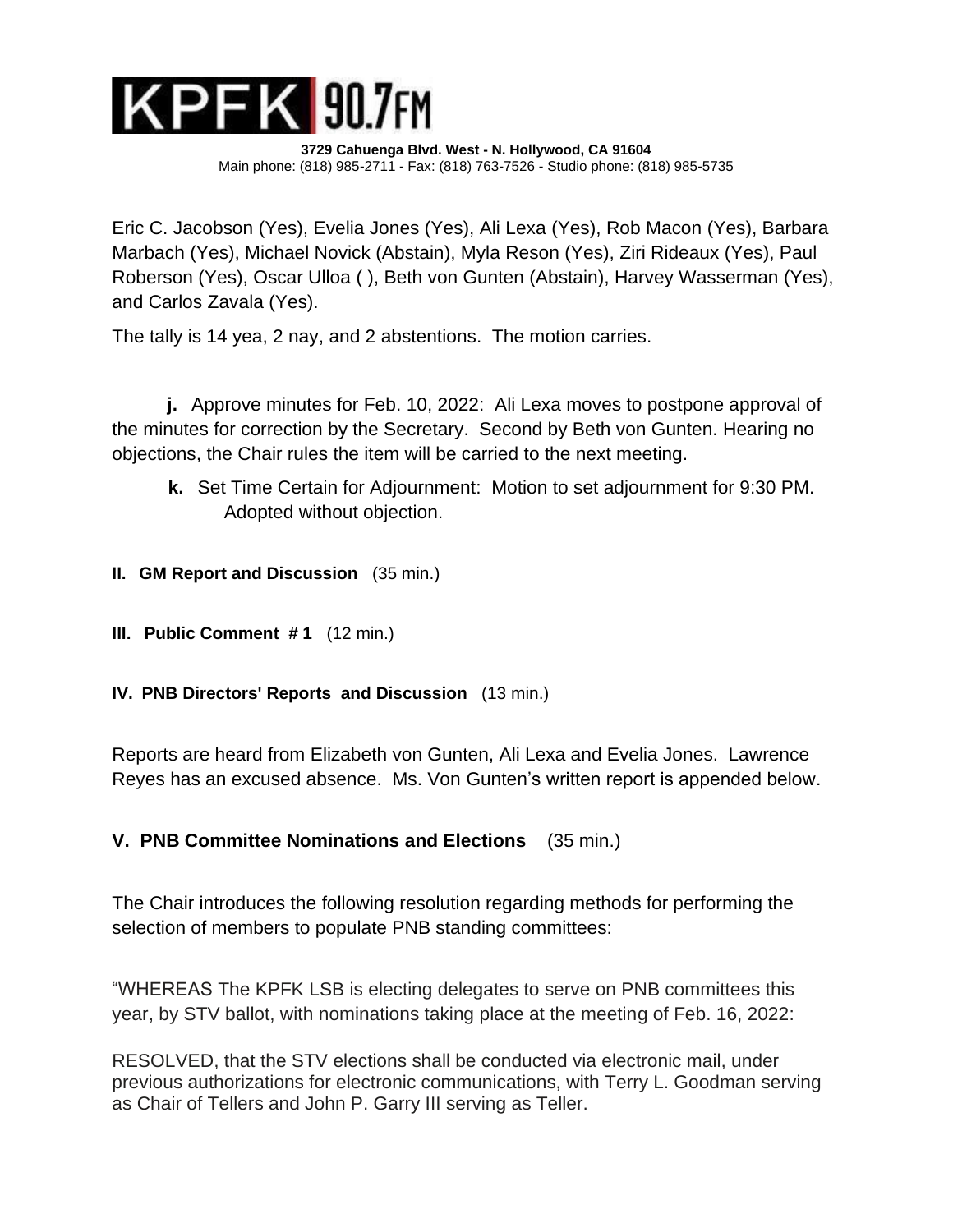

Eric C. Jacobson (Yes), Evelia Jones (Yes), Ali Lexa (Yes), Rob Macon (Yes), Barbara Marbach (Yes), Michael Novick (Abstain), Myla Reson (Yes), Ziri Rideaux (Yes), Paul Roberson (Yes), Oscar Ulloa ( ), Beth von Gunten (Abstain), Harvey Wasserman (Yes), and Carlos Zavala (Yes).

The tally is 14 yea, 2 nay, and 2 abstentions. The motion carries.

**j.** Approve minutes for Feb. 10, 2022: Ali Lexa moves to postpone approval of the minutes for correction by the Secretary. Second by Beth von Gunten. Hearing no objections, the Chair rules the item will be carried to the next meeting.

**k.** Set Time Certain for Adjournment: Motion to set adjournment for 9:30 PM. Adopted without objection.

**II. GM Report and Discussion** (35 min.)

- **III. Public Comment # 1** (12 min.)
- **IV. PNB Directors' Reports and Discussion** (13 min.)

Reports are heard from Elizabeth von Gunten, Ali Lexa and Evelia Jones. Lawrence Reyes has an excused absence. Ms. Von Gunten's written report is appended below.

**V. PNB Committee Nominations and Elections** (35 min.)

The Chair introduces the following resolution regarding methods for performing the selection of members to populate PNB standing committees:

"WHEREAS The KPFK LSB is electing delegates to serve on PNB committees this year, by STV ballot, with nominations taking place at the meeting of Feb. 16, 2022:

RESOLVED, that the STV elections shall be conducted via electronic mail, under previous authorizations for electronic communications, with Terry L. Goodman serving as Chair of Tellers and John P. Garry III serving as Teller.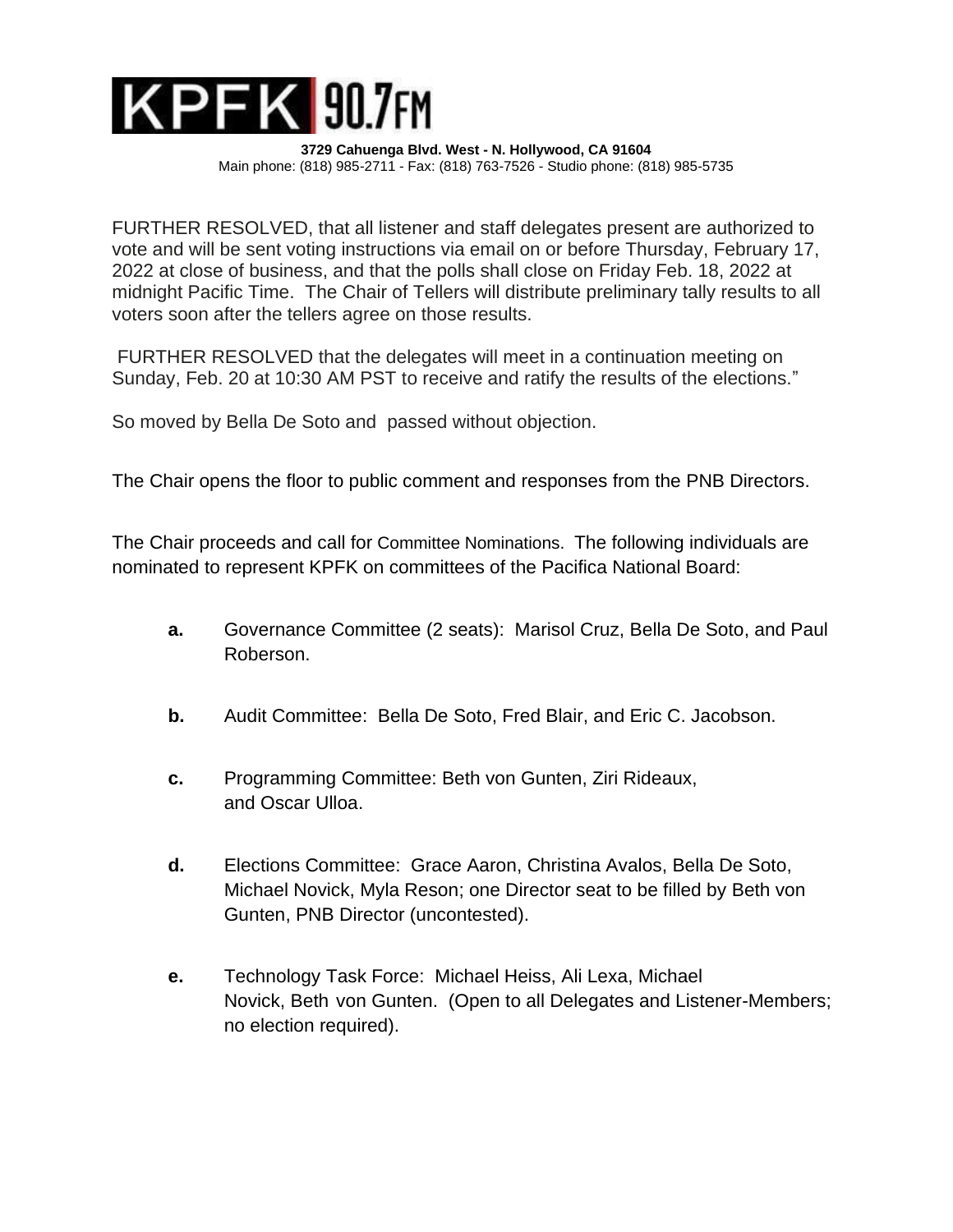**3729 Cahuenga Blvd. West - N. Hollywood, CA 91604** Main phone: (818) 985-2711 - Fax: (818) 763-7526 - Studio phone: (818) 985-5735

FURTHER RESOLVED, that all listener and staff delegates present are authorized to vote and will be sent voting instructions via email on or before Thursday, February 17, 2022 at close of business, and that the polls shall close on Friday Feb. 18, 2022 at midnight Pacific Time. The Chair of Tellers will distribute preliminary tally results to all voters soon after the tellers agree on those results.

FURTHER RESOLVED that the delegates will meet in a continuation meeting on Sunday, Feb. 20 at 10:30 AM PST to receive and ratify the results of the elections."

So moved by Bella De Soto and passed without objection.

The Chair opens the floor to public comment and responses from the PNB Directors.

The Chair proceeds and call for Committee Nominations.The following individuals are nominated to represent KPFK on committees of the Pacifica National Board:

- **a.** Governance Committee (2 seats): Marisol Cruz, Bella De Soto, and Paul Roberson.
- **b.** Audit Committee: Bella De Soto, Fred Blair, and Eric C. Jacobson.
- **c.** Programming Committee: Beth von Gunten, Ziri Rideaux, and Oscar Ulloa.
- **d.** Elections Committee: Grace Aaron, Christina Avalos, Bella De Soto, Michael Novick, Myla Reson; one Director seat to be filled by Beth von Gunten, PNB Director (uncontested).
- **e.** Technology Task Force: Michael Heiss, Ali Lexa, Michael Novick, Beth von Gunten. (Open to all Delegates and Listener-Members; no election required).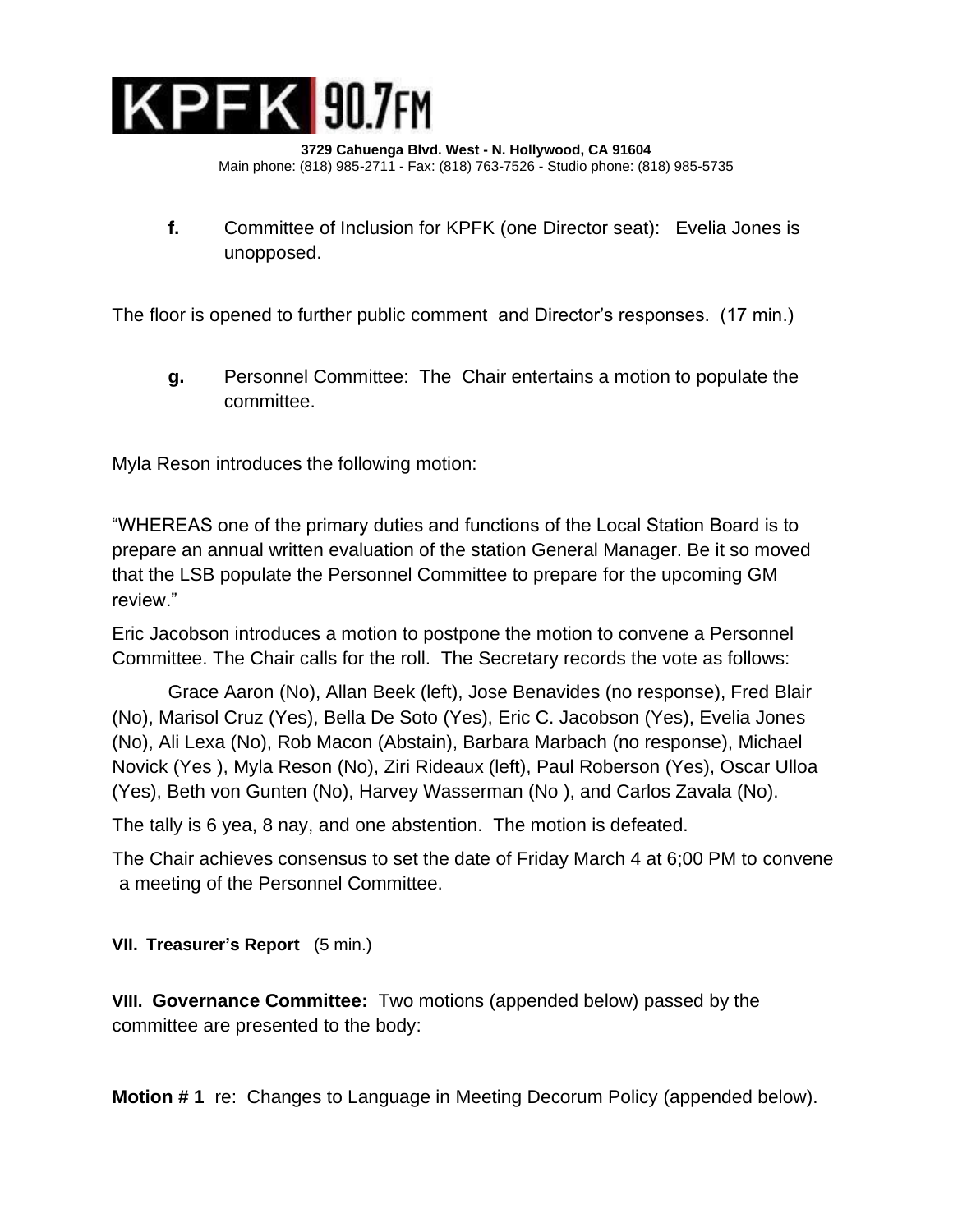

**f.** Committee of Inclusion for KPFK (one Director seat): Evelia Jones is unopposed.

The floor is opened to further public comment and Director's responses. (17 min.)

**g.** Personnel Committee: The Chair entertains a motion to populate the committee.

Myla Reson introduces the following motion:

"WHEREAS one of the primary duties and functions of the Local Station Board is to prepare an annual written evaluation of the station General Manager. Be it so moved that the LSB populate the Personnel Committee to prepare for the upcoming GM review."

Eric Jacobson introduces a motion to postpone the motion to convene a Personnel Committee. The Chair calls for the roll. The Secretary records the vote as follows:

Grace Aaron (No), Allan Beek (left), Jose Benavides (no response), Fred Blair (No), Marisol Cruz (Yes), Bella De Soto (Yes), Eric C. Jacobson (Yes), Evelia Jones (No), Ali Lexa (No), Rob Macon (Abstain), Barbara Marbach (no response), Michael Novick (Yes ), Myla Reson (No), Ziri Rideaux (left), Paul Roberson (Yes), Oscar Ulloa (Yes), Beth von Gunten (No), Harvey Wasserman (No ), and Carlos Zavala (No).

The tally is 6 yea, 8 nay, and one abstention. The motion is defeated.

The Chair achieves consensus to set the date of Friday March 4 at 6;00 PM to convene a meeting of the Personnel Committee.

**VII. Treasurer's Report** (5 min.)

**VIII. Governance Committee:** Two motions (appended below) passed by the committee are presented to the body:

**Motion # 1** re: Changes to Language in Meeting Decorum Policy (appended below).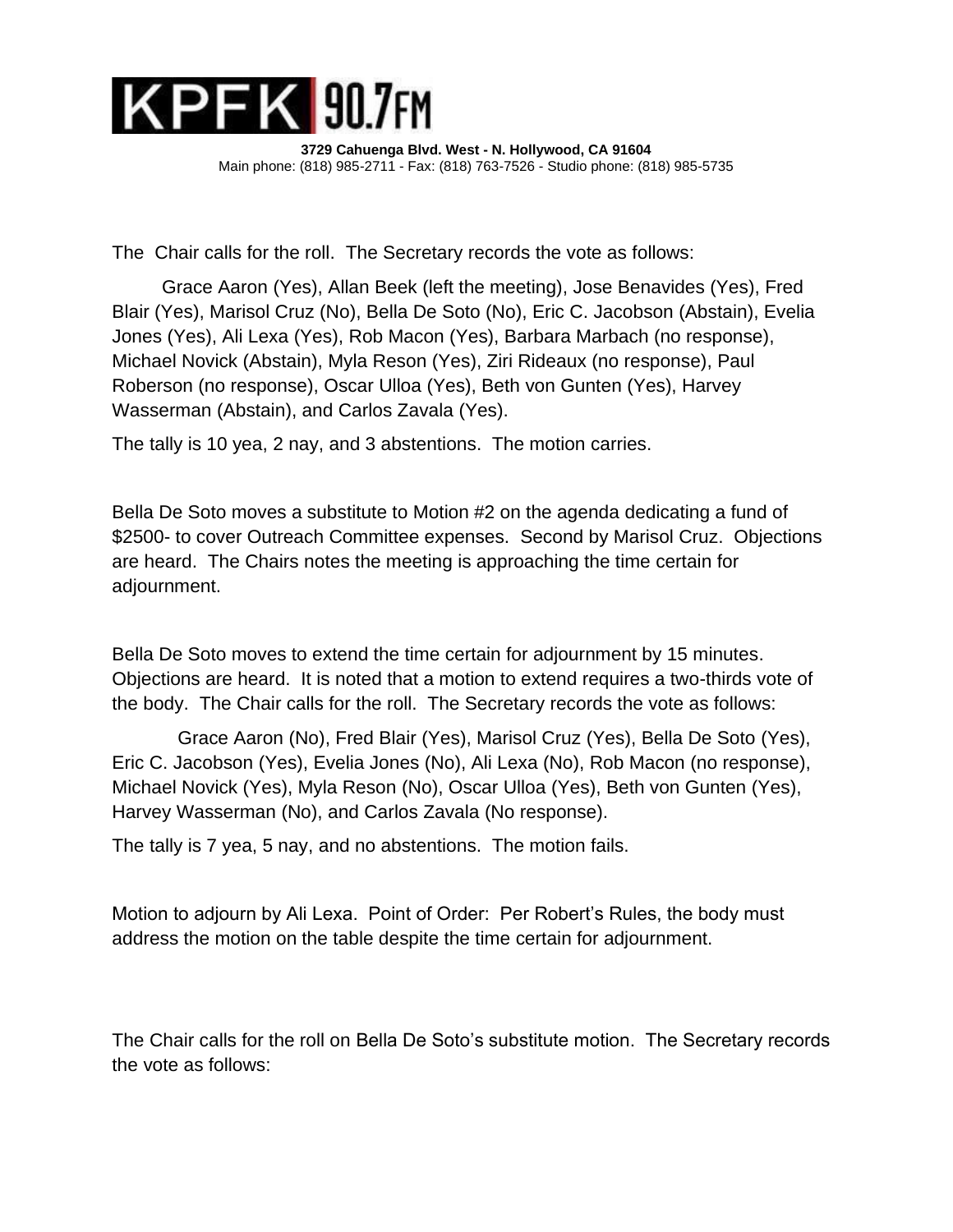

The Chair calls for the roll. The Secretary records the vote as follows:

Grace Aaron (Yes), Allan Beek (left the meeting), Jose Benavides (Yes), Fred Blair (Yes), Marisol Cruz (No), Bella De Soto (No), Eric C. Jacobson (Abstain), Evelia Jones (Yes), Ali Lexa (Yes), Rob Macon (Yes), Barbara Marbach (no response), Michael Novick (Abstain), Myla Reson (Yes), Ziri Rideaux (no response), Paul Roberson (no response), Oscar Ulloa (Yes), Beth von Gunten (Yes), Harvey Wasserman (Abstain), and Carlos Zavala (Yes).

The tally is 10 yea, 2 nay, and 3 abstentions. The motion carries.

Bella De Soto moves a substitute to Motion #2 on the agenda dedicating a fund of \$2500- to cover Outreach Committee expenses. Second by Marisol Cruz. Objections are heard. The Chairs notes the meeting is approaching the time certain for adjournment.

Bella De Soto moves to extend the time certain for adjournment by 15 minutes. Objections are heard. It is noted that a motion to extend requires a two-thirds vote of the body. The Chair calls for the roll. The Secretary records the vote as follows:

 Grace Aaron (No), Fred Blair (Yes), Marisol Cruz (Yes), Bella De Soto (Yes), Eric C. Jacobson (Yes), Evelia Jones (No), Ali Lexa (No), Rob Macon (no response), Michael Novick (Yes), Myla Reson (No), Oscar Ulloa (Yes), Beth von Gunten (Yes), Harvey Wasserman (No), and Carlos Zavala (No response).

The tally is 7 yea, 5 nay, and no abstentions. The motion fails.

Motion to adjourn by Ali Lexa. Point of Order: Per Robert's Rules, the body must address the motion on the table despite the time certain for adjournment.

The Chair calls for the roll on Bella De Soto's substitute motion. The Secretary records the vote as follows: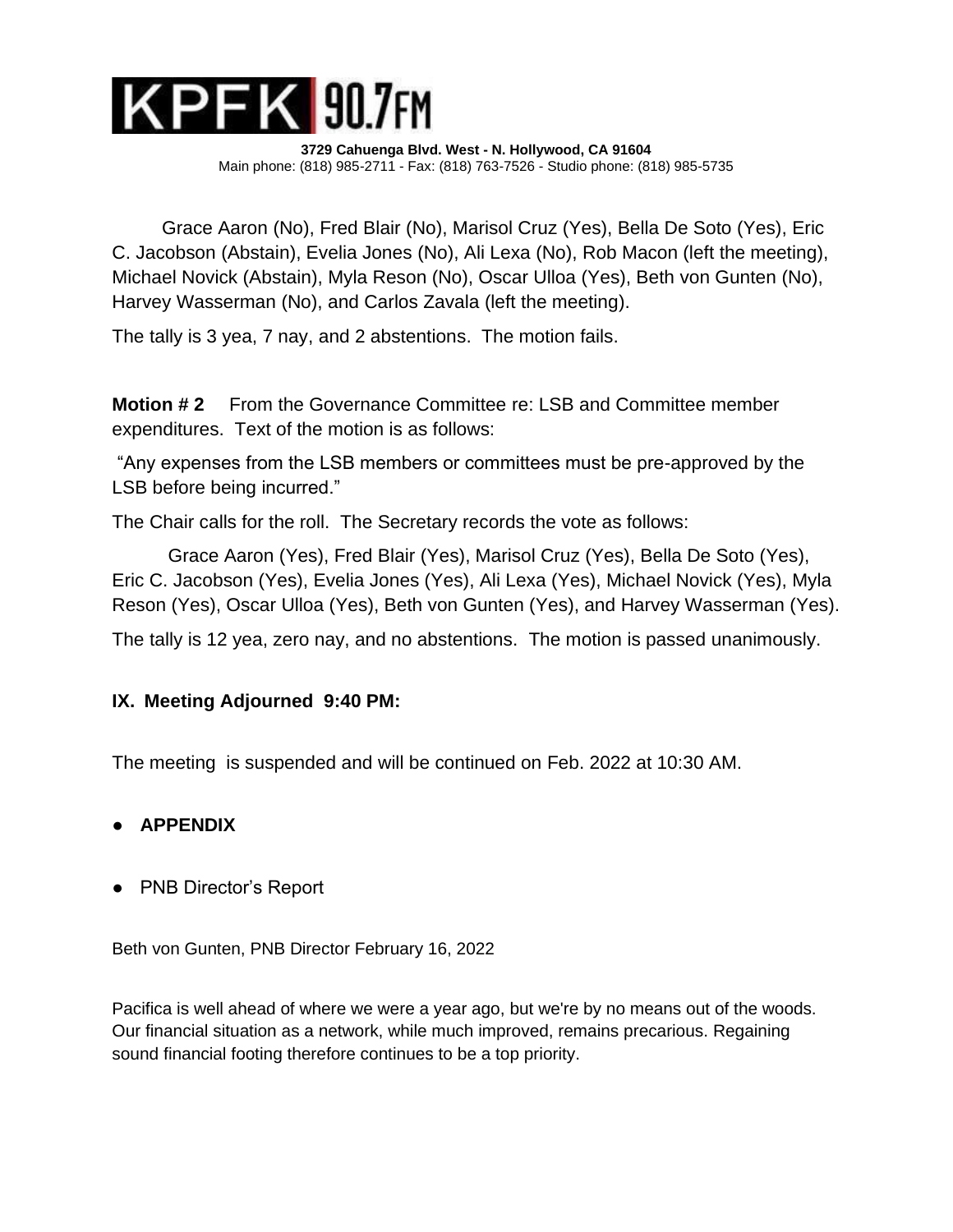**3729 Cahuenga Blvd. West - N. Hollywood, CA 91604** Main phone: (818) 985-2711 - Fax: (818) 763-7526 - Studio phone: (818) 985-5735

Grace Aaron (No), Fred Blair (No), Marisol Cruz (Yes), Bella De Soto (Yes), Eric C. Jacobson (Abstain), Evelia Jones (No), Ali Lexa (No), Rob Macon (left the meeting), Michael Novick (Abstain), Myla Reson (No), Oscar Ulloa (Yes), Beth von Gunten (No), Harvey Wasserman (No), and Carlos Zavala (left the meeting).

The tally is 3 yea, 7 nay, and 2 abstentions. The motion fails.

**Motion # 2** From the Governance Committee re: LSB and Committee member expenditures. Text of the motion is as follows:

"Any expenses from the LSB members or committees must be pre-approved by the LSB before being incurred."

The Chair calls for the roll. The Secretary records the vote as follows:

Grace Aaron (Yes), Fred Blair (Yes), Marisol Cruz (Yes), Bella De Soto (Yes), Eric C. Jacobson (Yes), Evelia Jones (Yes), Ali Lexa (Yes), Michael Novick (Yes), Myla Reson (Yes), Oscar Ulloa (Yes), Beth von Gunten (Yes), and Harvey Wasserman (Yes).

The tally is 12 yea, zero nay, and no abstentions. The motion is passed unanimously.

## **IX. Meeting Adjourned 9:40 PM:**

The meeting is suspended and will be continued on Feb. 2022 at 10:30 AM.

## ● **APPENDIX**

● PNB Director's Report

Beth von Gunten, PNB Director February 16, 2022

Pacifica is well ahead of where we were a year ago, but we're by no means out of the woods. Our financial situation as a network, while much improved, remains precarious. Regaining sound financial footing therefore continues to be a top priority.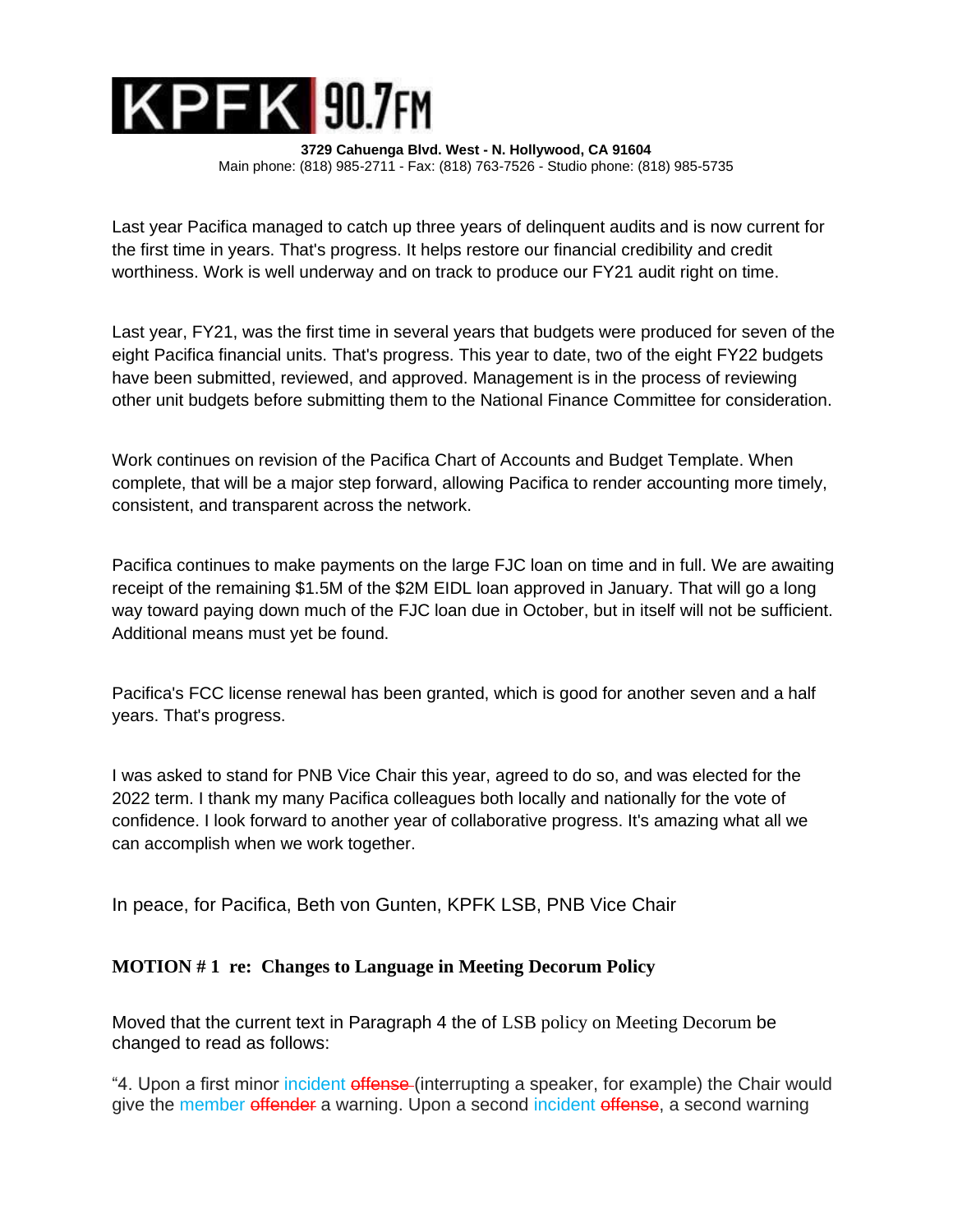**3729 Cahuenga Blvd. West - N. Hollywood, CA 91604** Main phone: (818) 985-2711 - Fax: (818) 763-7526 - Studio phone: (818) 985-5735

Last year Pacifica managed to catch up three years of delinquent audits and is now current for the first time in years. That's progress. It helps restore our financial credibility and credit worthiness. Work is well underway and on track to produce our FY21 audit right on time.

Last year, FY21, was the first time in several years that budgets were produced for seven of the eight Pacifica financial units. That's progress. This year to date, two of the eight FY22 budgets have been submitted, reviewed, and approved. Management is in the process of reviewing other unit budgets before submitting them to the National Finance Committee for consideration.

Work continues on revision of the Pacifica Chart of Accounts and Budget Template. When complete, that will be a major step forward, allowing Pacifica to render accounting more timely, consistent, and transparent across the network.

Pacifica continues to make payments on the large FJC loan on time and in full. We are awaiting receipt of the remaining \$1.5M of the \$2M EIDL loan approved in January. That will go a long way toward paying down much of the FJC loan due in October, but in itself will not be sufficient. Additional means must yet be found.

Pacifica's FCC license renewal has been granted, which is good for another seven and a half years. That's progress.

I was asked to stand for PNB Vice Chair this year, agreed to do so, and was elected for the 2022 term. I thank my many Pacifica colleagues both locally and nationally for the vote of confidence. I look forward to another year of collaborative progress. It's amazing what all we can accomplish when we work together.

In peace, for Pacifica, Beth von Gunten, KPFK LSB, PNB Vice Chair

#### **MOTION # 1 re: Changes to Language in Meeting Decorum Policy**

Moved that the current text in Paragraph 4 the of LSB policy on Meeting Decorum be changed to read as follows:

"4. Upon a first minor incident offense (interrupting a speaker, for example) the Chair would give the member offender a warning. Upon a second incident offense, a second warning